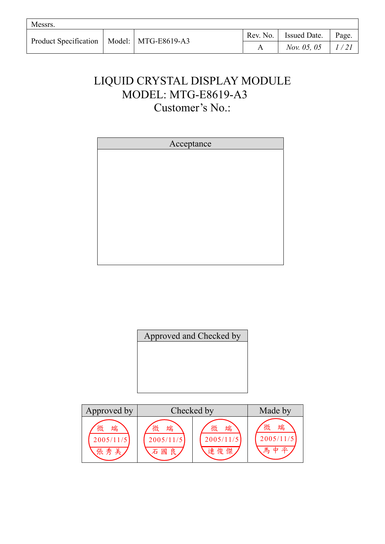| Messrs.                                       |  |          |                             |       |
|-----------------------------------------------|--|----------|-----------------------------|-------|
| Product Specification   Model:   MTG-E8619-A3 |  | Rev. No. | <b>Issued Date.</b>         | Page. |
|                                               |  |          | <i>Nov.</i> 05, 05   $1/21$ |       |

# LIQUID CRYSTAL DISPLAY MODULE MODEL: MTG-E8619-A3 Customer's No.:

| Acceptance |
|------------|
|            |
|            |
|            |
|            |
|            |
|            |
|            |
|            |
|            |
|            |
|            |
|            |
|            |
|            |
|            |
|            |
|            |

|  |  | Approved and Checked by |  |
|--|--|-------------------------|--|
|  |  |                         |  |
|  |  |                         |  |
|  |  |                         |  |
|  |  |                         |  |

| Approved by                | Checked by                         |                            | Made by                            |
|----------------------------|------------------------------------|----------------------------|------------------------------------|
| 端<br>微<br>2005/11/5<br>張秀美 | 端<br>微<br>2005/11/5<br>良<br>國<br>石 | 微<br>端<br>2005/11/5<br>連俊傑 | 微<br>端<br>2005/11/5<br>亚<br>馬<br>山 |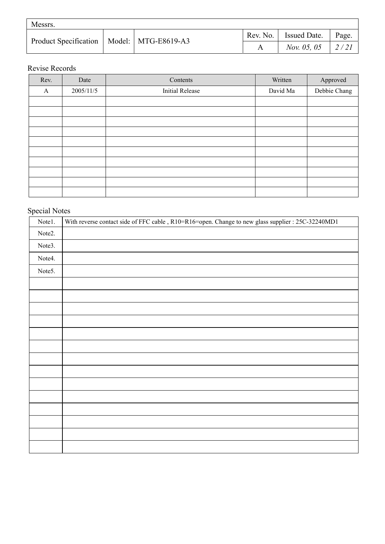| Messrs. |  |                                               |          |                           |       |  |
|---------|--|-----------------------------------------------|----------|---------------------------|-------|--|
|         |  | Product Specification   Model:   MTG-E8619-A3 | Rev. No. | <sup>1</sup> Issued Date. | Page. |  |
|         |  |                                               |          | <i>Nov.</i> 05, 05        |       |  |

## Revise Records

| Rev. | Date      | Contents               | Written  | Approved     |
|------|-----------|------------------------|----------|--------------|
| A    | 2005/11/5 | <b>Initial Release</b> | David Ma | Debbie Chang |
|      |           |                        |          |              |
|      |           |                        |          |              |
|      |           |                        |          |              |
|      |           |                        |          |              |
|      |           |                        |          |              |
|      |           |                        |          |              |
|      |           |                        |          |              |
|      |           |                        |          |              |
|      |           |                        |          |              |
|      |           |                        |          |              |

# Special Notes

| Notel. | With reverse contact side of FFC cable, R10=R16=open. Change to new glass supplier : 25C-32240MD1 |
|--------|---------------------------------------------------------------------------------------------------|
| Note2. |                                                                                                   |
| Note3. |                                                                                                   |
| Note4. |                                                                                                   |
| Note5. |                                                                                                   |
|        |                                                                                                   |
|        |                                                                                                   |
|        |                                                                                                   |
|        |                                                                                                   |
|        |                                                                                                   |
|        |                                                                                                   |
|        |                                                                                                   |
|        |                                                                                                   |
|        |                                                                                                   |
|        |                                                                                                   |
|        |                                                                                                   |
|        |                                                                                                   |
|        |                                                                                                   |
|        |                                                                                                   |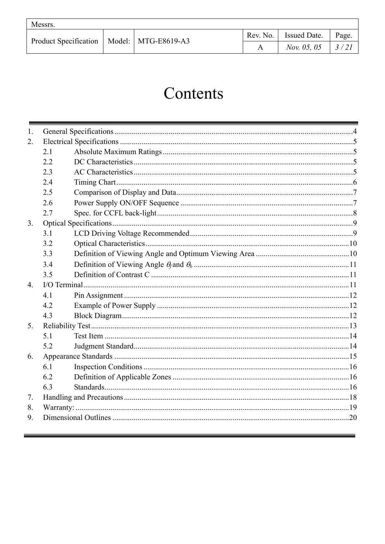| Messrs.                                       |  |  |                         |       |
|-----------------------------------------------|--|--|-------------------------|-------|
| Product Specification   Model:   MTG-E8619-A3 |  |  | Rev. No.   Issued Date. | Page. |
|                                               |  |  | <i>Nov.</i> 05, 05      | 3/21  |

# Contents

| 1.               |     |  |  |  |  |  |
|------------------|-----|--|--|--|--|--|
| 2.               |     |  |  |  |  |  |
|                  | 2.1 |  |  |  |  |  |
|                  | 2.2 |  |  |  |  |  |
|                  | 2.3 |  |  |  |  |  |
|                  | 2.4 |  |  |  |  |  |
|                  | 2.5 |  |  |  |  |  |
|                  | 2.6 |  |  |  |  |  |
|                  | 2.7 |  |  |  |  |  |
| 3.               |     |  |  |  |  |  |
|                  | 3.1 |  |  |  |  |  |
|                  | 3.2 |  |  |  |  |  |
|                  | 3.3 |  |  |  |  |  |
|                  | 3.4 |  |  |  |  |  |
|                  | 3.5 |  |  |  |  |  |
| $\overline{4}$ . |     |  |  |  |  |  |
|                  | 4.1 |  |  |  |  |  |
|                  | 4.2 |  |  |  |  |  |
|                  | 4.3 |  |  |  |  |  |
| 5.               |     |  |  |  |  |  |
|                  | 5.1 |  |  |  |  |  |
|                  | 5.2 |  |  |  |  |  |
| 6.               |     |  |  |  |  |  |
|                  | 6.1 |  |  |  |  |  |
|                  | 6.2 |  |  |  |  |  |
|                  | 6.3 |  |  |  |  |  |
| 7.               |     |  |  |  |  |  |
| 8.               |     |  |  |  |  |  |
| 9.               |     |  |  |  |  |  |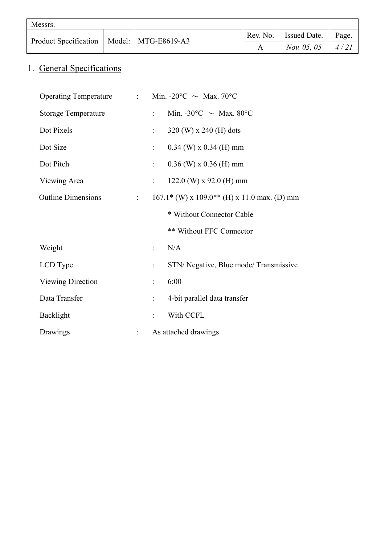| Messrs.                                       |  |                             |       |
|-----------------------------------------------|--|-----------------------------|-------|
| Product Specification   Model:   MTG-E8619-A3 |  | Rev. No.   Issued Date.     | Page. |
|                                               |  | <i>Nov.</i> 05, 05   $4/21$ |       |

# 1. General Specifications

| Operating Temperature : Min. -20°C $\sim$ Max. 70°C |                           |                                                 |
|-----------------------------------------------------|---------------------------|-------------------------------------------------|
| <b>Storage Temperature</b>                          | $\mathbb{R}^{\mathbb{Z}}$ | Min. -30°C $\sim$ Max. 80°C                     |
| Dot Pixels                                          | $\tau_{\rm eff}$          | 320 (W) x 240 (H) dots                          |
| Dot Size                                            | $\ddot{\phantom{0}}$      | $0.34$ (W) x $0.34$ (H) mm                      |
| Dot Pitch                                           | $\mathbb{Z}^{\mathbb{Z}}$ | $0.36$ (W) x $0.36$ (H) mm                      |
| Viewing Area                                        | $\mathbb{R}^{\mathbb{Z}}$ | 122.0 (W) x 92.0 (H) mm                         |
| <b>Outline Dimensions</b><br>$\frac{1}{2}$ .        |                           | $167.1*$ (W) x $109.0**$ (H) x 11.0 max. (D) mm |
|                                                     |                           | * Without Connector Cable                       |
|                                                     |                           | ** Without FFC Connector                        |
| Weight                                              | $\mathcal{L}^{(1)}$       | N/A                                             |
| LCD Type                                            | ÷                         | STN/ Negative, Blue mode/ Transmissive          |
| Viewing Direction                                   | ÷                         | 6:00                                            |
| Data Transfer                                       | $\ddot{\phantom{0}}$      | 4-bit parallel data transfer                    |
| Backlight                                           |                           | With CCFL                                       |
| Drawings                                            |                           | As attached drawings                            |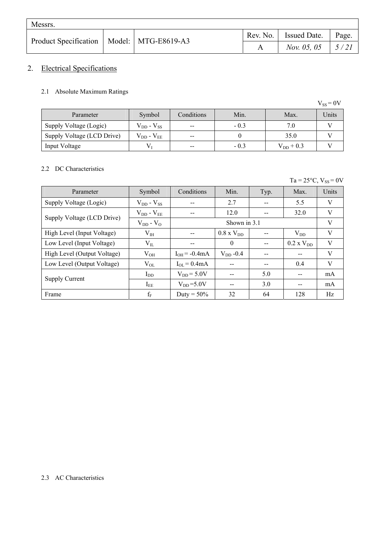| Messrs.                                       |  |                             |       |
|-----------------------------------------------|--|-----------------------------|-------|
| Product Specification   Model:   MTG-E8619-A3 |  | Rev. No.   Issued Date.     | Page. |
|                                               |  | <i>Nov.</i> 05, 05   $5/21$ |       |

## 2. Electrical Specifications

### 2.1 Absolute Maximum Ratings

|                            |                     |            |        |                | $V_{SS} = 0V$ |
|----------------------------|---------------------|------------|--------|----------------|---------------|
| Parameter                  | Symbol              | Conditions | Min.   | Max.           | Units         |
| Supply Voltage (Logic)     | $V_{DD} - V_{SS}$   | $- -$      | $-0.3$ | 7.0            |               |
| Supply Voltage (LCD Drive) | $V_{DD}$ - $V_{EE}$ | $- -$      |        | 35.0           |               |
| Input Voltage              | $\rm V_{\rm I}$     | $- -$      | $-0.3$ | $V_{DD}$ + 0.3 |               |

#### 2.2 DC Characteristics

 $Ta = 25^{\circ}C$ ,  $V_{SS} = 0V$ 

| Parameter                   | Symbol              | Conditions        | Min.                | Typ. | Max.                | Units |
|-----------------------------|---------------------|-------------------|---------------------|------|---------------------|-------|
| Supply Voltage (Logic)      | $V_{DD} - V_{SS}$   |                   | 2.7                 | $-$  | 5.5                 | V     |
| Supply Voltage (LCD Drive)  | $V_{DD}$ - $V_{EE}$ | --                | 12.0                |      | 32.0                | V     |
|                             | $V_{DD} - V_{O}$    |                   | Shown in 3.1        |      |                     | V     |
| High Level (Input Voltage)  | $V_{IH}$            | --                | $0.8 \times V_{DD}$ |      | $V_{DD}$            | V     |
| Low Level (Input Voltage)   | $V_{IL}$            | --                | $\theta$            |      | $0.2 \times V_{DD}$ | V     |
| High Level (Output Voltage) | $V_{OH}$            | $I_{OH} = -0.4mA$ | $V_{DD}$ -0.4       |      |                     | V     |
| Low Level (Output Voltage)  | $V_{OL}$            | $I_{OL} = 0.4mA$  |                     |      | 0.4                 | V     |
|                             | $I_{DD}$            | $V_{DD} = 5.0V$   |                     | 5.0  |                     | mA    |
| <b>Supply Current</b>       | $I_{EE}$            | $V_{DD} = 5.0V$   |                     | 3.0  | --                  | mA    |
| Frame                       | $f_F$               | Duty = $50\%$     | 32                  | 64   | 128                 | Hz    |

#### 2.3 AC Characteristics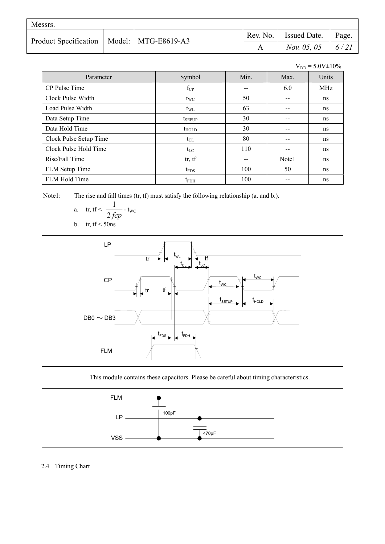| Messrs.                                       |  |                         |       |
|-----------------------------------------------|--|-------------------------|-------|
| Product Specification   Model:   MTG-E8619-A3 |  | Rev. No.   Issued Date. | Page. |
|                                               |  | Nov. 05, 05   $6/21$    |       |

|                        |                   |       |       | $V_{DD} = 5.0V \pm 10\%$ |
|------------------------|-------------------|-------|-------|--------------------------|
| Parameter              | Symbol            | Min.  | Max.  | Units                    |
| CP Pulse Time          | $f_{CP}$          | $- -$ | 6.0   | <b>MHz</b>               |
| Clock Pulse Width      | $t_{\text{WC}}$   | 50    | $-$   | ns                       |
| Load Pulse Width       | $t_{\rm WL}$      | 63    | $-$   | ns                       |
| Data Setup Time        | $t_{SEPUP}$       | 30    |       | ns                       |
| Data Hold Time         | $t_{\text{HOLD}}$ | 30    | $-$   | ns                       |
| Clock Pulse Setup Time | $t_{CL}$          | 80    | $-$   | ns                       |
| Clock Pulse Hold Time  | $t_{LC}$          | 110   | $-$   | ns                       |
| Rise/Fall Time         | tr, tf            | $- -$ | Note1 | ns                       |
| FLM Setup Time         | $t_{\text{FDS}}$  | 100   | 50    | ns                       |
| FLM Hold Time          | $t_{FDH}$         | 100   |       | ns                       |

Note1: The rise and fall times (tr, tf) must satisfy the following relationship (a. and b.).

a. tr, tf 
$$
\frac{1}{2 \text{ fcp}}
$$
 -  $t_{wc}$ 

b. tr,  $tf < 50$ ns



This module contains these capacitors. Please be careful about timing characteristics.



#### 2.4 Timing Chart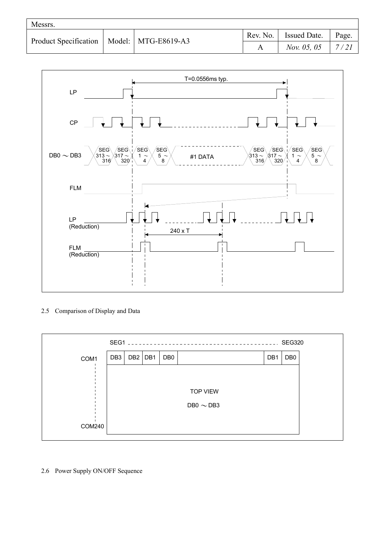| Messrs.                                       |  |          |                       |       |
|-----------------------------------------------|--|----------|-----------------------|-------|
| Product Specification   Model:   MTG-E8619-A3 |  | Rev. No. | <b>I</b> Issued Date. | Page. |
|                                               |  |          | <i>Nov.</i> 05, 05    | 7/21  |



#### 2.5 Comparison of Display and Data

|               | SEG1 |     |     |                 | <b>SEG320</b>          |
|---------------|------|-----|-----|-----------------|------------------------|
| COM1          | DB3  | DB2 | DB1 | DB <sub>0</sub> | DB <sub>0</sub><br>DB1 |
|               |      |     |     |                 |                        |
|               |      |     |     |                 | <b>TOP VIEW</b>        |
|               |      |     |     |                 | DB0 $\sim$ DB3         |
|               |      |     |     |                 |                        |
| <b>COM240</b> |      |     |     |                 |                        |

2.6 Power Supply ON/OFF Sequence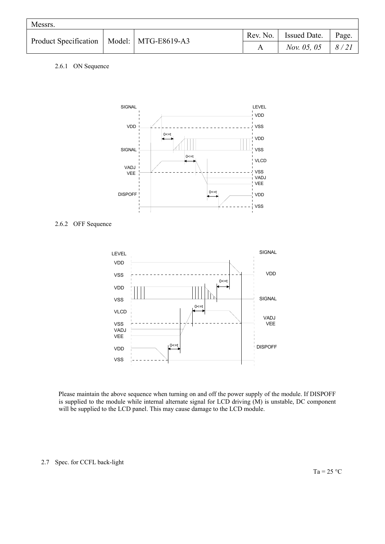| Messrs. |  |                                               |                             |       |
|---------|--|-----------------------------------------------|-----------------------------|-------|
|         |  | Product Specification   Model:   MTG-E8619-A3 | Rev. No.   Issued Date.   J | Page. |
|         |  |                                               | <i>Nov.</i> 05, 05   $8/21$ |       |

#### 2.6.1 ON Sequence



#### 2.6.2 OFF Sequence



Please maintain the above sequence when turning on and off the power supply of the module. If DISPOFF is supplied to the module while internal alternate signal for LCD driving (M) is unstable, DC component will be supplied to the LCD panel. This may cause damage to the LCD module.

#### 2.7 Spec. for CCFL back-light

 $Ta = 25 °C$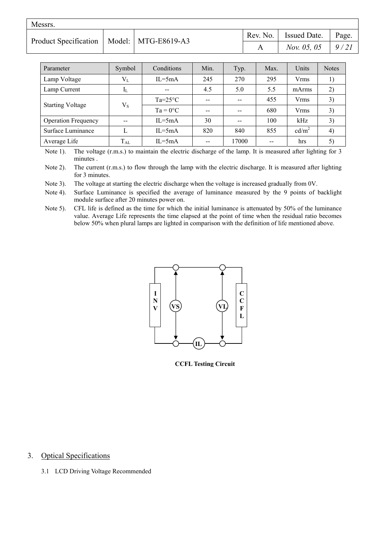| Messrs.                                       |  |                         |                             |  |
|-----------------------------------------------|--|-------------------------|-----------------------------|--|
| Product Specification   Model:   MTG-E8619-A3 |  | Rev. No.   Issued Date. | Page.                       |  |
|                                               |  |                         | <i>Nov.</i> 05, 05   $9/21$ |  |

| Parameter                  | Symbol        | Conditions        | Min.  | Typ.          | Max. | Units             | <b>Notes</b> |
|----------------------------|---------------|-------------------|-------|---------------|------|-------------------|--------------|
| Lamp Voltage               | $V_{L}$       | $IL = 5mA$        | 245   | 270           | 295  | Vrms              | 1)           |
| Lamp Current               | $I_{L}$       | $-$               | 4.5   | 5.0           | 5.5  | mArms             | 2)           |
|                            | $V_{S}$       | $Ta=25^{\circ}C$  | --    | $-$           | 455  | Vrms              | 3)           |
| <b>Starting Voltage</b>    |               | $Ta = 0^{\circ}C$ | $- -$ | $- -$         | 680  | <b>Vrms</b>       | 3)           |
| <b>Operation Frequency</b> | $\sim$ $\sim$ | $IL = 5mA$        | 30    | $\sim$ $\sim$ | 100  | kHz               | 3)           |
| Surface Luminance          |               | $IL = 5mA$        | 820   | 840           | 855  | cd/m <sup>2</sup> | 4)           |
| Average Life               | $\rm T_{AL}$  | $IL = 5mA$        |       | 17000         | --   | hrs               | 5)           |

Note 1). The voltage (r.m.s.) to maintain the electric discharge of the lamp. It is measured after lighting for 3 minutes .

Note 2). The current (r.m.s.) to flow through the lamp with the electric discharge. It is measured after lighting for 3 minutes.

Note 3). The voltage at starting the electric discharge when the voltage is increased gradually from 0V.

Note 4). Surface Luminance is specified the average of luminance measured by the 9 points of backlight module surface after 20 minutes power on.

Note 5). CFL life is defined as the time for which the initial luminance is attenuated by 50% of the luminance value. Average Life represents the time elapsed at the point of time when the residual ratio becomes below 50% when plural lamps are lighted in comparison with the definition of life mentioned above.



**CCFL Testing Circuit**

#### 3. Optical Specifications

3.1 LCD Driving Voltage Recommended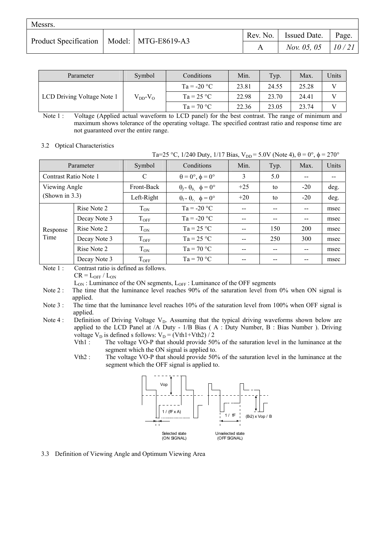| Messrs.                                       |  |                              |       |
|-----------------------------------------------|--|------------------------------|-------|
| Product Specification   Model:   MTG-E8619-A3 |  | Rev. No.   Issued Date.      | Page. |
|                                               |  | <i>Nov.</i> 05, 05   $10/21$ |       |

| Parameter                  | Symbol             | Conditions    | Min.  | Typ.  | Max.  | Units |
|----------------------------|--------------------|---------------|-------|-------|-------|-------|
| LCD Driving Voltage Note 1 |                    | $Ta = -20 °C$ | 23.81 | 24.55 | 25.28 |       |
|                            | $V_{DD}$ - $V_{O}$ | $Ta = 25 °C$  | 22.98 | 23.70 | 24.41 |       |
|                            |                    | $Ta = 70 °C$  | 22.36 | 23.05 | 23.74 |       |

Note 1 : Voltage (Applied actual waveform to LCD panel) for the best contrast. The range of minimum and maximum shows tolerance of the operating voltage. The specified contrast ratio and response time are not guaranteed over the entire range.

#### 3.2 Optical Characteristics

| Ta=25 °C, 1/240 Duty, 1/17 Bias, $V_{DD} = 5.0V$ (Note 4), $\theta = 0^{\circ}$ , $\phi = 270^{\circ}$ |              |                    |                                          |       |      |       |       |
|--------------------------------------------------------------------------------------------------------|--------------|--------------------|------------------------------------------|-------|------|-------|-------|
|                                                                                                        | Parameter    | Symbol             | Conditions                               | Min.  | Typ. | Max.  | Units |
| Contrast Ratio Note 1                                                                                  |              | C                  | $\theta = 0^{\circ}, \phi = 0^{\circ}$   | 3     | 5.0  |       |       |
| Viewing Angle                                                                                          |              | Front-Back         | $\theta_f - \theta_b$ , $\phi = 0^\circ$ | $+25$ | to   | $-20$ | deg.  |
| (Shown in $3.3$ )                                                                                      |              | Left-Right         | $\theta_l$ - $\theta_r$ $\phi = 0^\circ$ | $+20$ | to   | $-20$ | deg.  |
|                                                                                                        | Rise Note 2  | $T_{ON}$           | $Ta = -20 °C$                            |       | --   | --    | msec  |
|                                                                                                        | Decay Note 3 | $T_{OFF}$          | $Ta = -20 °C$                            |       | --   |       | msec  |
| Response                                                                                               | Rise Note 2  | $T_{ON}$           | $Ta = 25 °C$                             |       | 150  | 200   | msec  |
| Time                                                                                                   | Decay Note 3 | $T_{OFF}$          | $Ta = 25 °C$                             |       | 250  | 300   | msec  |
|                                                                                                        | Rise Note 2  | $T_{ON}$           | $Ta = 70 °C$                             |       | --   |       | msec  |
|                                                                                                        | Decay Note 3 | $\mathrm{T_{OFF}}$ | $Ta = 70 °C$                             |       | --   |       | msec  |

Note 1 : Contrast ratio is defined as follows.

 $CR = L_{OFF} / L_{ON}$ 

 $L_{ON}$ : Luminance of the ON segments,  $L_{OFF}$ : Luminance of the OFF segments

Note 2 : The time that the luminance level reaches 90% of the saturation level from 0% when ON signal is applied.

- Note 3 : The time that the luminance level reaches 10% of the saturation level from 100% when OFF signal is applied.
- Note 4 : Definition of Driving Voltage  $V<sub>D</sub>$ . Assuming that the typical driving waveforms shown below are applied to the LCD Panel at /A Duty - 1/B Bias ( A : Duty Number, B : Bias Number ). Driving voltage  $V_D$  is defined s follows:  $V_D = (Vth1+Vth2)/2$ 
	- Vth1 : The voltage VO-P that should provide 50% of the saturation level in the luminance at the segment which the ON signal is applied to.
	- Vth2 : The voltage VO-P that should provide 50% of the saturation level in the luminance at the segment which the OFF signal is applied to.



3.3 Definition of Viewing Angle and Optimum Viewing Area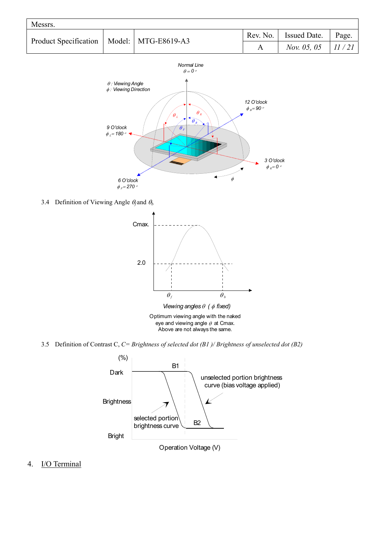| Messrs.                                       |  |  |  |                                                       |       |  |  |  |  |
|-----------------------------------------------|--|--|--|-------------------------------------------------------|-------|--|--|--|--|
| Product Specification   Model:   MTG-E8619-A3 |  |  |  | $\vert$ Rev. No. $\vert$ Issued Date. $\vert$ $\vert$ | Page. |  |  |  |  |
|                                               |  |  |  | <i>Nov.</i> 05, 05   $11/21$                          |       |  |  |  |  |



3.4 Definition of Viewing Angle  $\theta_f$  and  $\theta_b$ 



3.5 Definition of Contrast C, *C= Brightness of selected dot (B1 )/ Brightness of unselected dot (B2)*



4. I/O Terminal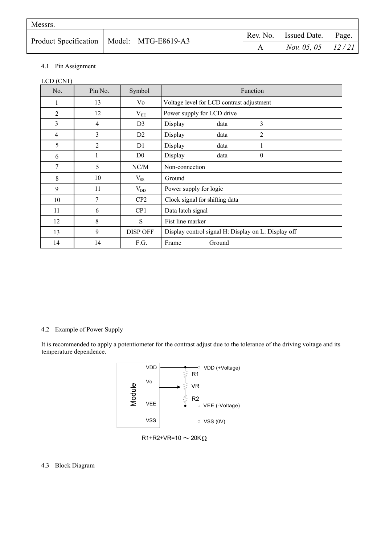| Messrs.                                       |  |  |  |                              |       |  |  |  |
|-----------------------------------------------|--|--|--|------------------------------|-------|--|--|--|
| Product Specification   Model:   MTG-E8619-A3 |  |  |  | Rev. No. Issued Date.        | Page. |  |  |  |
|                                               |  |  |  | <i>Nov.</i> 05, 05   $12/21$ |       |  |  |  |

#### 4.1 Pin Assignment

LCD (CN1)

| No. | Pin No.        | Symbol          | Function                                            |  |  |  |  |  |
|-----|----------------|-----------------|-----------------------------------------------------|--|--|--|--|--|
| 1   | 13             | Vo              | Voltage level for LCD contrast adjustment           |  |  |  |  |  |
| 2   | 12             | $V_{EE}$        | Power supply for LCD drive                          |  |  |  |  |  |
| 3   | 4              | D <sub>3</sub>  | 3<br>Display<br>data                                |  |  |  |  |  |
| 4   | 3              | D2              | 2<br>Display<br>data                                |  |  |  |  |  |
| 5   | $\overline{2}$ | D <sub>1</sub>  | Display<br>data<br>1                                |  |  |  |  |  |
| 6   |                | D <sub>0</sub>  | Display<br>data<br>$\theta$                         |  |  |  |  |  |
| 7   | 5              | NC/M            | Non-connection                                      |  |  |  |  |  |
| 8   | 10             | $V_{SS}$        | Ground                                              |  |  |  |  |  |
| 9   | 11             | $V_{DD}$        | Power supply for logic                              |  |  |  |  |  |
| 10  | 7              | CP2             | Clock signal for shifting data                      |  |  |  |  |  |
| 11  | 6              | CP <sub>1</sub> | Data latch signal                                   |  |  |  |  |  |
| 12  | 8              | S               | Fist line marker                                    |  |  |  |  |  |
| 13  | 9              | <b>DISP OFF</b> | Display control signal H: Display on L: Display off |  |  |  |  |  |
| 14  | 14             | F.G.            | Frame<br>Ground                                     |  |  |  |  |  |

#### 4.2 Example of Power Supply

It is recommended to apply a potentiometer for the contrast adjust due to the tolerance of the driving voltage and its temperature dependence.



 $R1+R2+VR=10 \sim 20 K\Omega$ 

#### 4.3 Block Diagram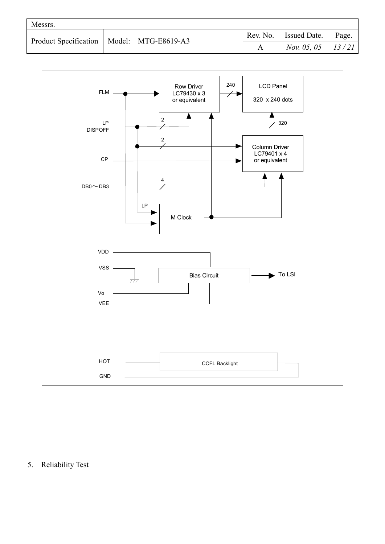| Messrs.                                       |  |          |                              |       |
|-----------------------------------------------|--|----------|------------------------------|-------|
| Product Specification   Model:   MTG-E8619-A3 |  | Rev. No. | <b>I</b> ssued Date.         | Page. |
|                                               |  |          | <i>Nov.</i> 05, 05   13 / 21 |       |



5. Reliability Test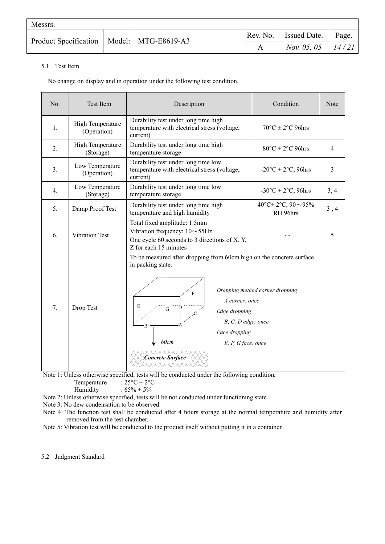| Messrs.                                       |  |  |  |                                               |       |  |  |  |
|-----------------------------------------------|--|--|--|-----------------------------------------------|-------|--|--|--|
| Product Specification   Model:   MTG-E8619-A3 |  |  |  | $\vert$ Rev. No. $\vert$ Issued Date. $\vert$ | Page. |  |  |  |
|                                               |  |  |  | <i>Nov.</i> 05, 05   $14/21$                  |       |  |  |  |

#### 5.1 Test Item

No change on display and in operation under the following test condition.

| No.            | <b>Test Item</b>                | Description                                                                                                                                                                                                                                                       | Condition                                 | <b>Note</b> |
|----------------|---------------------------------|-------------------------------------------------------------------------------------------------------------------------------------------------------------------------------------------------------------------------------------------------------------------|-------------------------------------------|-------------|
| 1.             | High Temperature<br>(Operation) | Durability test under long time high<br>temperature with electrical stress (voltage,<br>current)                                                                                                                                                                  | $70^{\circ}$ C $\pm$ 2°C 96hrs            |             |
| 2.             | High Temperature<br>(Storage)   | Durability test under long time high<br>temperature storage                                                                                                                                                                                                       | $80^{\circ}$ C $\pm$ 2°C 96hrs            | 4           |
| 3 <sub>1</sub> | Low Temperature<br>(Operation)  | Durability test under long time low<br>temperature with electrical stress (voltage,<br>current)                                                                                                                                                                   | $-20$ °C $\pm$ 2°C, 96hrs                 | 3           |
| 4.             | Low Temperature<br>(Storage)    | Durability test under long time low<br>temperature storage                                                                                                                                                                                                        | $-30^{\circ}C \pm 2^{\circ}C$ , 96hrs     | 3, 4        |
| 5.             | Damp Proof Test                 | Durability test under long time high<br>temperature and high humidity                                                                                                                                                                                             | 40°C $\pm$ 2°C, 90 $\sim$ 95%<br>RH 96hrs | 3, 4        |
| 6.             | <b>Vibration Test</b>           | Total fixed amplitude: 1.5mm<br>Vibration frequency: $10 \sim 55$ Hz<br>One cycle 60 seconds to 3 directions of X, Y,<br>Z for each 15 minutes                                                                                                                    |                                           | 5           |
| 7.             | Drop Test                       | To be measured after dropping from 60cm high on the concrete surface<br>in packing state.<br>F<br>A corner: once<br>E<br>G.<br>Edge dropping<br>B, C, D edge: once<br>B<br>Face dropping<br>60cm<br>$E, F, G$ face: once<br>Concrete Surface<br><u>xxxxxxxx</u> x | Dropping method corner dropping           |             |

Note 1: Unless otherwise specified, tests will be conducted under the following condition, Temperature :  $25^{\circ}C \pm 2^{\circ}C$ 

Humidity :  $65\% \pm 5\%$ 

Note 2: Unless otherwise specified, tests will be not conducted under functioning state.

Note 3: No dew condensation to be observed.

Note 4: The function test shall be conducted after 4 hours storage at the normal temperature and humidity after removed from the test chamber.

Note 5: Vibration test will be conducted to the product itself without putting it in a container.

5.2 Judgment Standard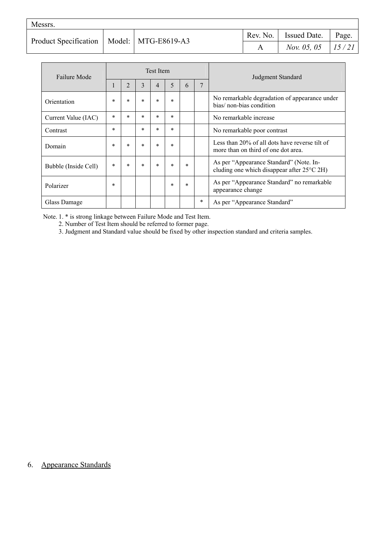| Messrs.                                       |  |  |  |                                 |  |  |  |  |
|-----------------------------------------------|--|--|--|---------------------------------|--|--|--|--|
| Product Specification   Model:   MTG-E8619-A3 |  |  |  | Rev. No.   Issued Date.   Page. |  |  |  |  |
|                                               |  |  |  | <i>Nov.</i> 05, 05   15/21      |  |  |  |  |

| Failure Mode         |        |                |        | Test Item |        |        |        | Judgment Standard                                                                               |  |
|----------------------|--------|----------------|--------|-----------|--------|--------|--------|-------------------------------------------------------------------------------------------------|--|
|                      |        | $\overline{2}$ | 3      | 4         | 5      | 6      | 7      |                                                                                                 |  |
| Orientation          | $\ast$ | $\ast$         | $\ast$ | $\ast$    | $\ast$ |        |        | No remarkable degradation of appearance under<br>bias/ non-bias condition                       |  |
| Current Value (IAC)  | $\ast$ | $\ast$         | $\ast$ | $\ast$    | $\ast$ |        |        | No remarkable increase                                                                          |  |
| Contrast             | $\ast$ |                | $\ast$ | $\ast$    | $\ast$ |        |        | No remarkable poor contrast                                                                     |  |
| Domain               | $\ast$ | $\ast$         | $\ast$ | $\ast$    | $\ast$ |        |        | Less than 20% of all dots have reverse tilt of<br>more than on third of one dot area.           |  |
| Bubble (Inside Cell) | $\ast$ | $\ast$         | $\ast$ | $\ast$    | $\ast$ | $\ast$ |        | As per "Appearance Standard" (Note. In-<br>cluding one which disappear after $25^{\circ}$ C 2H) |  |
| Polarizer            | $\ast$ |                |        |           | $\ast$ | $\ast$ |        | As per "Appearance Standard" no remarkable<br>appearance change                                 |  |
| Glass Damage         |        |                |        |           |        |        | $\ast$ | As per "Appearance Standard"                                                                    |  |

Note. 1. \* is strong linkage between Failure Mode and Test Item.

2. Number of Test Item should be referred to former page.

3. Judgment and Standard value should be fixed by other inspection standard and criteria samples.

## 6. Appearance Standards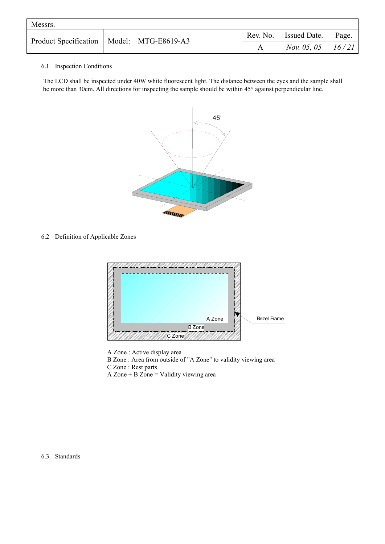| Messrs.                                       |  |  |                      |                              |       |  |  |  |
|-----------------------------------------------|--|--|----------------------|------------------------------|-------|--|--|--|
| Product Specification   Model:   MTG-E8619-A3 |  |  | Rev. No. $\parallel$ | Issued Date.                 | Page. |  |  |  |
|                                               |  |  |                      | <i>Nov.</i> 05, 05   $16/21$ |       |  |  |  |

#### 6.1 Inspection Conditions

The LCD shall be inspected under 40W white fluorescent light. The distance between the eyes and the sample shall be more than 30cm. All directions for inspecting the sample should be within 45° against perpendicular line.



6.2 Definition of Applicable Zones



A Zone : Active display area

B Zone : Area from outside of "A Zone" to validity viewing area

C Zone : Rest parts

A Zone + B Zone = Validity viewing area

6.3 Standards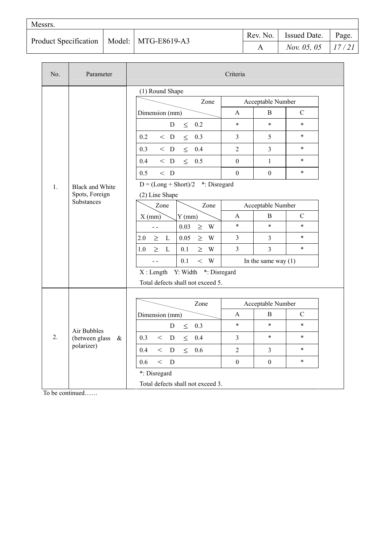| Messrs.                                       |  |  |  |                              |       |  |  |  |
|-----------------------------------------------|--|--|--|------------------------------|-------|--|--|--|
| Product Specification   Model:   MTG-E8619-A3 |  |  |  | Rev. No.   Issued Date.      | Page. |  |  |  |
|                                               |  |  |  | <i>Nov.</i> 05, 05   $17/21$ |       |  |  |  |

| No.                                                          | Parameter                           |                                                   | Criteria                           |                       |               |               |
|--------------------------------------------------------------|-------------------------------------|---------------------------------------------------|------------------------------------|-----------------------|---------------|---------------|
|                                                              |                                     | (1) Round Shape                                   |                                    |                       |               |               |
|                                                              |                                     | Zone                                              |                                    | Acceptable Number     |               |               |
|                                                              |                                     | Dimension (mm)                                    | A                                  | $\, {\bf B}$          | $\mathbf C$   |               |
|                                                              |                                     | D<br>0.2<br>$\leq$                                | $\ast$                             | $\ast$                | $\star$       |               |
|                                                              |                                     | $~<~$ D<br>0.2<br>$\leq$<br>0.3                   | $\overline{3}$                     | 5                     | $\star$       |               |
|                                                              |                                     | $\leq$<br>0.4<br>0.3<br>$\langle$ D               | $\overline{2}$                     | $\overline{3}$        | $\ast$        |               |
|                                                              |                                     | $\,<\,$ D<br>$\leq$<br>0.5<br>0.4                 | $\boldsymbol{0}$                   | $\mathbf{1}$          | $\star$       |               |
|                                                              |                                     | 0.5<br>$\langle$ D                                | $\mathbf{0}$                       | $\boldsymbol{0}$      | $\star$       |               |
| <b>Black and White</b><br>1.<br>Spots, Foreign<br>Substances | $D = (Long + Short)/2$ *: Disregard |                                                   |                                    |                       |               |               |
|                                                              | (2) Line Shape                      |                                                   |                                    |                       |               |               |
|                                                              |                                     | Zone<br>Zone                                      |                                    | Acceptable Number     |               |               |
|                                                              |                                     |                                                   | $X$ (mm)<br>$Y$ (mm)               | A                     | B             | $\mathcal{C}$ |
|                                                              |                                     |                                                   | 0.03<br>$\geq W$<br>$\blacksquare$ | $\ast$                | $\star$       | $\star$       |
|                                                              |                                     | 0.05<br>2.0<br>$\mathbf{L}$<br>$\geq W$<br>$\geq$ | $\overline{3}$                     | $\overline{3}$        | $\star$       |               |
|                                                              |                                     | W<br>$\geq$<br>L<br>0.1<br>$\geq$<br>1.0          | 3                                  | $\overline{3}$        | $\ast$        |               |
|                                                              |                                     | 0.1<br>$<\;$ W<br>$\overline{a}$                  |                                    | In the same way $(1)$ |               |               |
|                                                              |                                     | X: Length Y: Width *: Disregard                   |                                    |                       |               |               |
|                                                              |                                     | Total defects shall not exceed 5.                 |                                    |                       |               |               |
|                                                              |                                     |                                                   |                                    |                       |               |               |
|                                                              |                                     | Zone                                              |                                    | Acceptable Number     |               |               |
|                                                              |                                     | Dimension (mm)                                    | A                                  | B                     | $\mathcal{C}$ |               |
|                                                              | Air Bubbles                         | 0.3<br>D<br>$\leq$                                | $\ast$                             | $\ast$                | $\ast$        |               |
| 2.                                                           | (between glass)<br>&                | 0.3<br>$\lt$<br>$\mathbf D$<br>$\leq$<br>0.4      | $\mathfrak{Z}$                     | $\star$               | $\star$       |               |
|                                                              | polarizer)                          | 0.4<br>$\leq$<br>$\lt$<br>D<br>0.6                | $\overline{2}$                     | $\overline{3}$        | $\ast$        |               |
|                                                              | 0.6                                 | $\,<$<br>D                                        | $\mathbf{0}$                       | $\theta$              | $\star$       |               |
|                                                              |                                     | *: Disregard                                      |                                    |                       |               |               |
|                                                              |                                     | Total defects shall not exceed 3.                 |                                    |                       |               |               |

To be continued……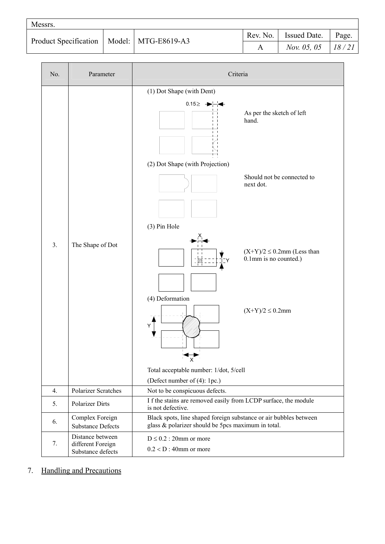| Messrs.                                       |  |  |  |                              |       |  |  |  |
|-----------------------------------------------|--|--|--|------------------------------|-------|--|--|--|
| Product Specification   Model:   MTG-E8619-A3 |  |  |  | Rev. No.   Issued Date.      | Page. |  |  |  |
|                                               |  |  |  | <i>Nov.</i> 05, 05   $18/21$ |       |  |  |  |

| No.              | Parameter                                                  | Criteria                                                                                                                                                                                                                                                                                                                                                                               |  |  |  |  |
|------------------|------------------------------------------------------------|----------------------------------------------------------------------------------------------------------------------------------------------------------------------------------------------------------------------------------------------------------------------------------------------------------------------------------------------------------------------------------------|--|--|--|--|
| 3.               | The Shape of Dot                                           | (1) Dot Shape (with Dent)<br>$0.15 \geq -1$<br>As per the sketch of left<br>hand.<br>(2) Dot Shape (with Projection)<br>Should not be connected to<br>next dot.<br>(3) Pin Hole<br>$(X+Y)/2 \le 0.2$ mm (Less than<br>0.1mm is no counted.)<br>(4) Deformation<br>$(X+Y)/2 \le 0.2$ mm<br>Y<br>$\frac{1}{x}$<br>Total acceptable number: 1/dot, 5/cell<br>(Defect number of (4): 1pc.) |  |  |  |  |
| $\overline{4}$ . | <b>Polarizer Scratches</b>                                 | Not to be conspicuous defects.                                                                                                                                                                                                                                                                                                                                                         |  |  |  |  |
| 5.               | <b>Polarizer Dirts</b>                                     | I f the stains are removed easily from LCDP surface, the module<br>is not defective.                                                                                                                                                                                                                                                                                                   |  |  |  |  |
| 6.               | Complex Foreign<br><b>Substance Defects</b>                | Black spots, line shaped foreign substance or air bubbles between<br>glass & polarizer should be 5pcs maximum in total.                                                                                                                                                                                                                                                                |  |  |  |  |
| 7.               | Distance between<br>different Foreign<br>Substance defects | $D \leq 0.2$ : 20mm or more<br>$0.2 < D$ : 40mm or more                                                                                                                                                                                                                                                                                                                                |  |  |  |  |

7. Handling and Precautions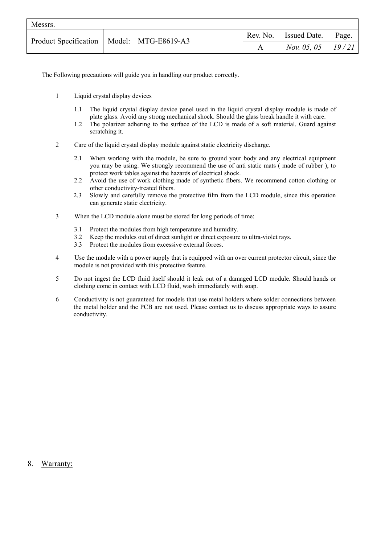| Messrs. |  |                                               |  |                              |       |  |  |  |  |
|---------|--|-----------------------------------------------|--|------------------------------|-------|--|--|--|--|
|         |  | Product Specification   Model:   MTG-E8619-A3 |  | Rev. No.   Issued Date.   J  | Page. |  |  |  |  |
|         |  |                                               |  | <i>Nov.</i> 05, 05   $19/21$ |       |  |  |  |  |

The Following precautions will guide you in handling our product correctly.

- 1 Liquid crystal display devices
	- 1.1 The liquid crystal display device panel used in the liquid crystal display module is made of plate glass. Avoid any strong mechanical shock. Should the glass break handle it with care.
	- 1.2 The polarizer adhering to the surface of the LCD is made of a soft material. Guard against scratching it.
- 2 Care of the liquid crystal display module against static electricity discharge.
	- 2.1 When working with the module, be sure to ground your body and any electrical equipment you may be using. We strongly recommend the use of anti static mats ( made of rubber ), to protect work tables against the hazards of electrical shock.
	- 2.2 Avoid the use of work clothing made of synthetic fibers. We recommend cotton clothing or other conductivity-treated fibers.
	- 2.3 Slowly and carefully remove the protective film from the LCD module, since this operation can generate static electricity.
- 3 When the LCD module alone must be stored for long periods of time:
	- 3.1 Protect the modules from high temperature and humidity.
	- 3.2 Keep the modules out of direct sunlight or direct exposure to ultra-violet rays.
	- 3.3 Protect the modules from excessive external forces.
- 4 Use the module with a power supply that is equipped with an over current protector circuit, since the module is not provided with this protective feature.
- 5 Do not ingest the LCD fluid itself should it leak out of a damaged LCD module. Should hands or clothing come in contact with LCD fluid, wash immediately with soap.
- 6 Conductivity is not guaranteed for models that use metal holders where solder connections between the metal holder and the PCB are not used. Please contact us to discuss appropriate ways to assure conductivity.

#### 8. Warranty: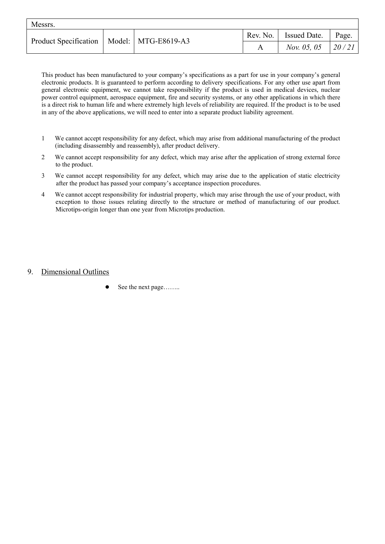| Messrs. |  |                                               |  |                       |       |  |  |  |  |
|---------|--|-----------------------------------------------|--|-----------------------|-------|--|--|--|--|
|         |  | Product Specification   Model:   MTG-E8619-A3 |  | Rev. No. Issued Date. | Page. |  |  |  |  |
|         |  |                                               |  | <i>Nov.</i> 05, 05    | 20/21 |  |  |  |  |

This product has been manufactured to your company's specifications as a part for use in your company's general electronic products. It is guaranteed to perform according to delivery specifications. For any other use apart from general electronic equipment, we cannot take responsibility if the product is used in medical devices, nuclear power control equipment, aerospace equipment, fire and security systems, or any other applications in which there is a direct risk to human life and where extremely high levels of reliability are required. If the product is to be used in any of the above applications, we will need to enter into a separate product liability agreement.

- 1 We cannot accept responsibility for any defect, which may arise from additional manufacturing of the product (including disassembly and reassembly), after product delivery.
- 2 We cannot accept responsibility for any defect, which may arise after the application of strong external force to the product.
- 3 We cannot accept responsibility for any defect, which may arise due to the application of static electricity after the product has passed your company's acceptance inspection procedures.
- 4 We cannot accept responsibility for industrial property, which may arise through the use of your product, with exception to those issues relating directly to the structure or method of manufacturing of our product. Microtips-origin longer than one year from Microtips production.

#### 9. Dimensional Outlines

See the next page……..